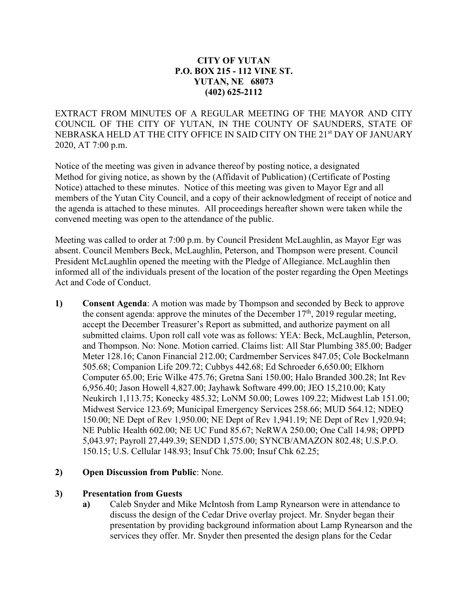## **CITY OF YUTAN P.O. BOX 215 - 112 VINE ST. YUTAN, NE 68073 (402) 625-2112**

EXTRACT FROM MINUTES OF A REGULAR MEETING OF THE MAYOR AND CITY COUNCIL OF THE CITY OF YUTAN, IN THE COUNTY OF SAUNDERS, STATE OF NEBRASKA HELD AT THE CITY OFFICE IN SAID CITY ON THE 21<sup>st</sup> DAY OF JANUARY 2020, AT 7:00 p.m.

Notice of the meeting was given in advance thereof by posting notice, a designated Method for giving notice, as shown by the (Affidavit of Publication) (Certificate of Posting Notice) attached to these minutes. Notice of this meeting was given to Mayor Egr and all members of the Yutan City Council, and a copy of their acknowledgment of receipt of notice and the agenda is attached to these minutes. All proceedings hereafter shown were taken while the convened meeting was open to the attendance of the public.

Meeting was called to order at 7:00 p.m. by Council President McLaughlin, as Mayor Egr was absent. Council Members Beck, McLaughlin, Peterson, and Thompson were present. Council President McLaughlin opened the meeting with the Pledge of Allegiance. McLaughlin then informed all of the individuals present of the location of the poster regarding the Open Meetings Act and Code of Conduct.

**1) Consent Agenda**: A motion was made by Thompson and seconded by Beck to approve the consent agenda: approve the minutes of the December  $17<sup>th</sup>$ , 2019 regular meeting, accept the December Treasurer's Report as submitted, and authorize payment on all submitted claims. Upon roll call vote was as follows: YEA: Beck, McLaughlin, Peterson, and Thompson. No: None. Motion carried. Claims list: All Star Plumbing 385.00; Badger Meter 128.16; Canon Financial 212.00; Cardmember Services 847.05; Cole Bockelmann 505.68; Companion Life 209.72; Cubbys 442.68; Ed Schroeder 6,650.00; Elkhorn Computer 65.00; Eric Wilke 475.76; Gretna Sani 150.00; Halo Branded 300.28; Int Rev 6,956.40; Jason Howell 4,827.00; Jayhawk Software 499.00; JEO 15,210.00; Katy Neukirch 1,113.75; Konecky 485.32; LoNM 50.00; Lowes 109.22; Midwest Lab 151.00; Midwest Service 123.69; Municipal Emergency Services 258.66; MUD 564.12; NDEQ 150.00; NE Dept of Rev 1,950.00; NE Dept of Rev 1,941.19; NE Dept of Rev 1,920.94; NE Public Health 602.00; NE UC Fund 85.67; NeRWA 250.00; One Call 14.98; OPPD 5,043.97; Payroll 27,449.39; SENDD 1,575.00; SYNCB/AMAZON 802.48; U.S.P.O. 150.15; U.S. Cellular 148.93; Insuf Chk 75.00; Insuf Chk 62.25;

## **2) Open Discussion from Public**: None.

## **3) Presentation from Guests**

**a)** Caleb Snyder and Mike McIntosh from Lamp Rynearson were in attendance to discuss the design of the Cedar Drive overlay project. Mr. Snyder began their presentation by providing background information about Lamp Rynearson and the services they offer. Mr. Snyder then presented the design plans for the Cedar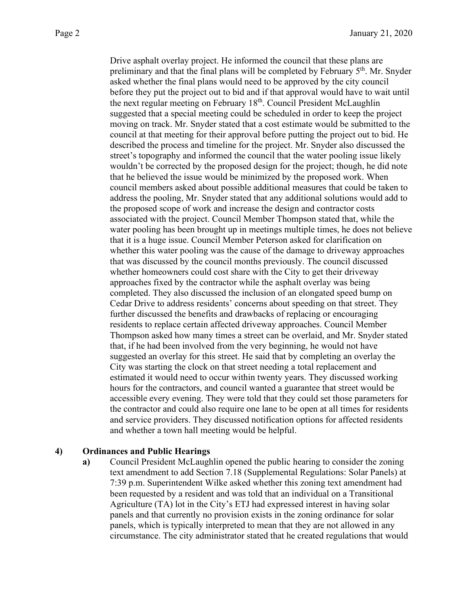Drive asphalt overlay project. He informed the council that these plans are preliminary and that the final plans will be completed by February  $5<sup>th</sup>$ . Mr. Snyder asked whether the final plans would need to be approved by the city council before they put the project out to bid and if that approval would have to wait until the next regular meeting on February 18<sup>th</sup>. Council President McLaughlin suggested that a special meeting could be scheduled in order to keep the project moving on track. Mr. Snyder stated that a cost estimate would be submitted to the council at that meeting for their approval before putting the project out to bid. He described the process and timeline for the project. Mr. Snyder also discussed the street's topography and informed the council that the water pooling issue likely wouldn't be corrected by the proposed design for the project; though, he did note that he believed the issue would be minimized by the proposed work. When council members asked about possible additional measures that could be taken to address the pooling, Mr. Snyder stated that any additional solutions would add to the proposed scope of work and increase the design and contractor costs associated with the project. Council Member Thompson stated that, while the water pooling has been brought up in meetings multiple times, he does not believe that it is a huge issue. Council Member Peterson asked for clarification on whether this water pooling was the cause of the damage to driveway approaches that was discussed by the council months previously. The council discussed whether homeowners could cost share with the City to get their driveway approaches fixed by the contractor while the asphalt overlay was being completed. They also discussed the inclusion of an elongated speed bump on Cedar Drive to address residents' concerns about speeding on that street. They further discussed the benefits and drawbacks of replacing or encouraging residents to replace certain affected driveway approaches. Council Member Thompson asked how many times a street can be overlaid, and Mr. Snyder stated that, if he had been involved from the very beginning, he would not have suggested an overlay for this street. He said that by completing an overlay the City was starting the clock on that street needing a total replacement and estimated it would need to occur within twenty years. They discussed working hours for the contractors, and council wanted a guarantee that street would be accessible every evening. They were told that they could set those parameters for the contractor and could also require one lane to be open at all times for residents and service providers. They discussed notification options for affected residents and whether a town hall meeting would be helpful.

## **4) Ordinances and Public Hearings**

**a)** Council President McLaughlin opened the public hearing to consider the zoning text amendment to add Section 7.18 (Supplemental Regulations: Solar Panels) at 7:39 p.m. Superintendent Wilke asked whether this zoning text amendment had been requested by a resident and was told that an individual on a Transitional Agriculture (TA) lot in the City's ETJ had expressed interest in having solar panels and that currently no provision exists in the zoning ordinance for solar panels, which is typically interpreted to mean that they are not allowed in any circumstance. The city administrator stated that he created regulations that would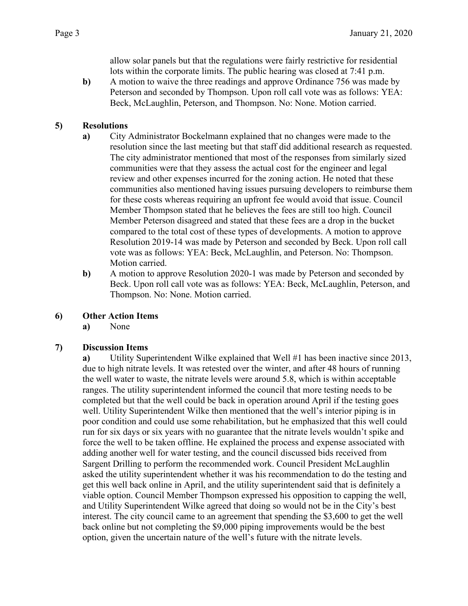allow solar panels but that the regulations were fairly restrictive for residential lots within the corporate limits. The public hearing was closed at 7:41 p.m.

**b)** A motion to waive the three readings and approve Ordinance 756 was made by Peterson and seconded by Thompson. Upon roll call vote was as follows: YEA: Beck, McLaughlin, Peterson, and Thompson. No: None. Motion carried.

# **5) Resolutions**

- **a)** City Administrator Bockelmann explained that no changes were made to the resolution since the last meeting but that staff did additional research as requested. The city administrator mentioned that most of the responses from similarly sized communities were that they assess the actual cost for the engineer and legal review and other expenses incurred for the zoning action. He noted that these communities also mentioned having issues pursuing developers to reimburse them for these costs whereas requiring an upfront fee would avoid that issue. Council Member Thompson stated that he believes the fees are still too high. Council Member Peterson disagreed and stated that these fees are a drop in the bucket compared to the total cost of these types of developments. A motion to approve Resolution 2019-14 was made by Peterson and seconded by Beck. Upon roll call vote was as follows: YEA: Beck, McLaughlin, and Peterson. No: Thompson. Motion carried.
- **b)** A motion to approve Resolution 2020-1 was made by Peterson and seconded by Beck. Upon roll call vote was as follows: YEA: Beck, McLaughlin, Peterson, and Thompson. No: None. Motion carried.

## **6) Other Action Items**

**a)** None

## **7) Discussion Items**

**a)** Utility Superintendent Wilke explained that Well #1 has been inactive since 2013, due to high nitrate levels. It was retested over the winter, and after 48 hours of running the well water to waste, the nitrate levels were around 5.8, which is within acceptable ranges. The utility superintendent informed the council that more testing needs to be completed but that the well could be back in operation around April if the testing goes well. Utility Superintendent Wilke then mentioned that the well's interior piping is in poor condition and could use some rehabilitation, but he emphasized that this well could run for six days or six years with no guarantee that the nitrate levels wouldn't spike and force the well to be taken offline. He explained the process and expense associated with adding another well for water testing, and the council discussed bids received from Sargent Drilling to perform the recommended work. Council President McLaughlin asked the utility superintendent whether it was his recommendation to do the testing and get this well back online in April, and the utility superintendent said that is definitely a viable option. Council Member Thompson expressed his opposition to capping the well, and Utility Superintendent Wilke agreed that doing so would not be in the City's best interest. The city council came to an agreement that spending the \$3,600 to get the well back online but not completing the \$9,000 piping improvements would be the best option, given the uncertain nature of the well's future with the nitrate levels.